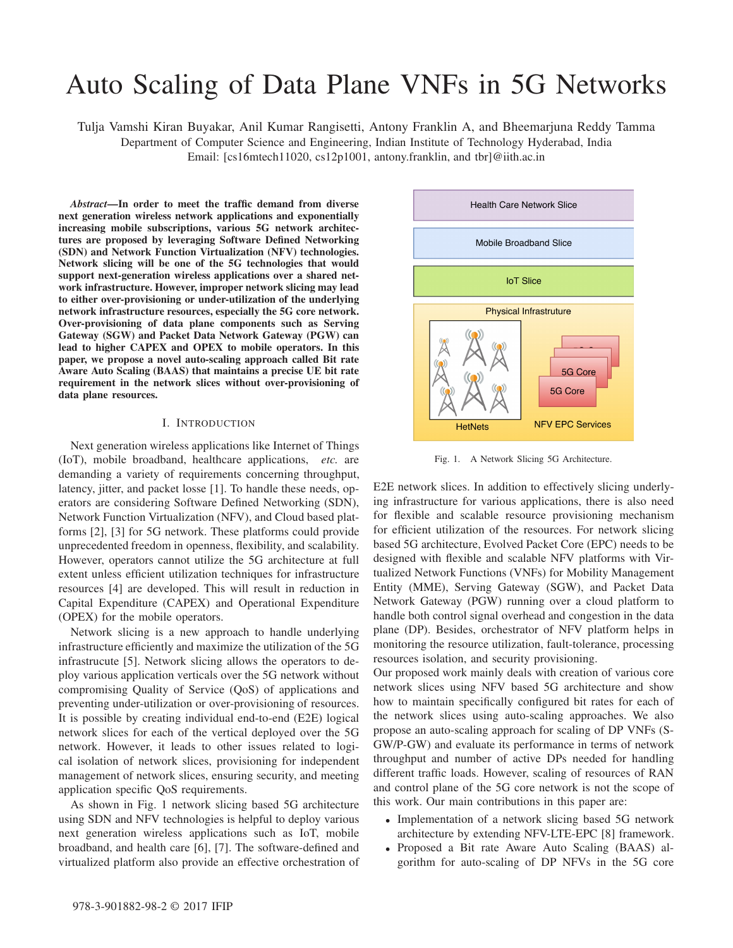# Auto Scaling of Data Plane VNFs in 5G Networks

Tulja Vamshi Kiran Buyakar, Anil Kumar Rangisetti, Antony Franklin A, and Bheemarjuna Reddy Tamma Department of Computer Science and Engineering, Indian Institute of Technology Hyderabad, India Email: [cs16mtech11020, cs12p1001, antony.franklin, and tbr]@iith.ac.in

*Abstract*—In order to meet the traffic demand from diverse next generation wireless network applications and exponentially increasing mobile subscriptions, various 5G network architectures are proposed by leveraging Software Defined Networking (SDN) and Network Function Virtualization (NFV) technologies. Network slicing will be one of the 5G technologies that would support next-generation wireless applications over a shared network infrastructure. However, improper network slicing may lead to either over-provisioning or under-utilization of the underlying network infrastructure resources, especially the 5G core network. Over-provisioning of data plane components such as Serving Gateway (SGW) and Packet Data Network Gateway (PGW) can lead to higher CAPEX and OPEX to mobile operators. In this paper, we propose a novel auto-scaling approach called Bit rate Aware Auto Scaling (BAAS) that maintains a precise UE bit rate requirement in the network slices without over-provisioning of data plane resources.

#### I. INTRODUCTION

Next generation wireless applications like Internet of Things (IoT), mobile broadband, healthcare applications, *etc.* are demanding a variety of requirements concerning throughput, latency, jitter, and packet losse [1]. To handle these needs, operators are considering Software Defined Networking (SDN), Network Function Virtualization (NFV), and Cloud based platforms [2], [3] for 5G network. These platforms could provide unprecedented freedom in openness, flexibility, and scalability. However, operators cannot utilize the 5G architecture at full extent unless efficient utilization techniques for infrastructure resources [4] are developed. This will result in reduction in Capital Expenditure (CAPEX) and Operational Expenditure (OPEX) for the mobile operators.

Network slicing is a new approach to handle underlying infrastructure efficiently and maximize the utilization of the 5G infrastrucute [5]. Network slicing allows the operators to deploy various application verticals over the 5G network without compromising Quality of Service (QoS) of applications and preventing under-utilization or over-provisioning of resources. It is possible by creating individual end-to-end (E2E) logical network slices for each of the vertical deployed over the 5G network. However, it leads to other issues related to logical isolation of network slices, provisioning for independent management of network slices, ensuring security, and meeting application specific QoS requirements.

As shown in Fig. 1 network slicing based 5G architecture using SDN and NFV technologies is helpful to deploy various next generation wireless applications such as IoT, mobile broadband, and health care [6], [7]. The software-defined and virtualized platform also provide an effective orchestration of



Fig. 1. A Network Slicing 5G Architecture.

E2E network slices. In addition to effectively slicing underlying infrastructure for various applications, there is also need for flexible and scalable resource provisioning mechanism for efficient utilization of the resources. For network slicing based 5G architecture, Evolved Packet Core (EPC) needs to be designed with flexible and scalable NFV platforms with Virtualized Network Functions (VNFs) for Mobility Management Entity (MME), Serving Gateway (SGW), and Packet Data Network Gateway (PGW) running over a cloud platform to handle both control signal overhead and congestion in the data plane (DP). Besides, orchestrator of NFV platform helps in monitoring the resource utilization, fault-tolerance, processing resources isolation, and security provisioning.

Our proposed work mainly deals with creation of various core network slices using NFV based 5G architecture and show how to maintain specifically configured bit rates for each of the network slices using auto-scaling approaches. We also propose an auto-scaling approach for scaling of DP VNFs (S-GW/P-GW) and evaluate its performance in terms of network throughput and number of active DPs needed for handling different traffic loads. However, scaling of resources of RAN and control plane of the 5G core network is not the scope of this work. Our main contributions in this paper are:

- Implementation of a network slicing based 5G network architecture by extending NFV-LTE-EPC [8] framework.
- Proposed a Bit rate Aware Auto Scaling (BAAS) algorithm for auto-scaling of DP NFVs in the 5G core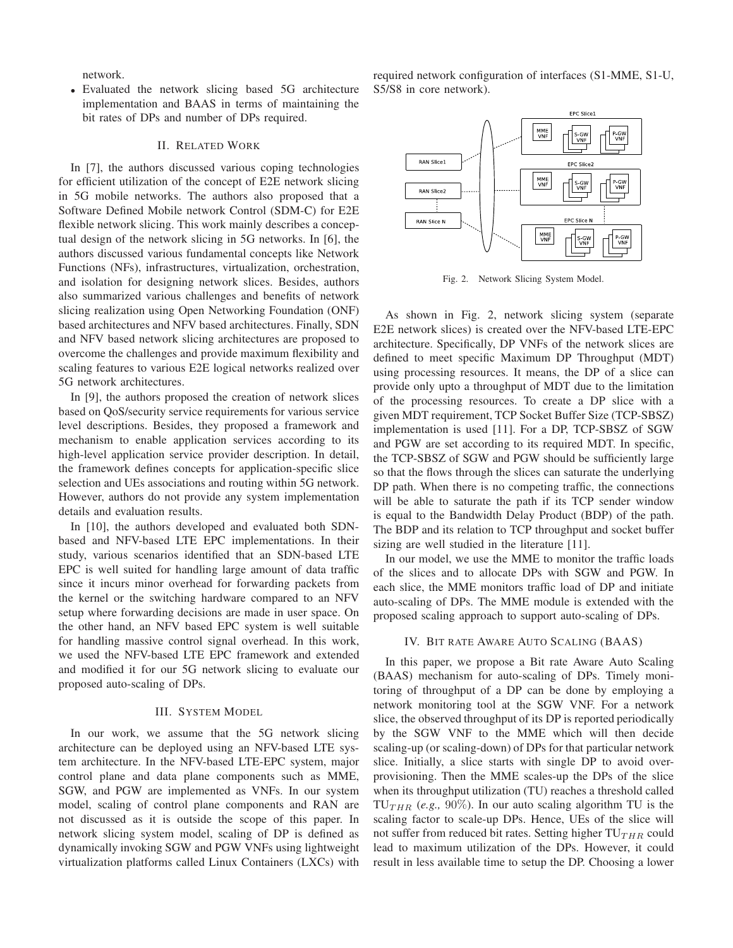network.

• Evaluated the network slicing based 5G architecture implementation and BAAS in terms of maintaining the bit rates of DPs and number of DPs required.

# II. RELATED WORK

In [7], the authors discussed various coping technologies for efficient utilization of the concept of E2E network slicing in 5G mobile networks. The authors also proposed that a Software Defined Mobile network Control (SDM-C) for E2E flexible network slicing. This work mainly describes a conceptual design of the network slicing in 5G networks. In [6], the authors discussed various fundamental concepts like Network Functions (NFs), infrastructures, virtualization, orchestration, and isolation for designing network slices. Besides, authors also summarized various challenges and benefits of network slicing realization using Open Networking Foundation (ONF) based architectures and NFV based architectures. Finally, SDN and NFV based network slicing architectures are proposed to overcome the challenges and provide maximum flexibility and scaling features to various E2E logical networks realized over 5G network architectures.

In [9], the authors proposed the creation of network slices based on QoS/security service requirements for various service level descriptions. Besides, they proposed a framework and mechanism to enable application services according to its high-level application service provider description. In detail, the framework defines concepts for application-specific slice selection and UEs associations and routing within 5G network. However, authors do not provide any system implementation details and evaluation results.

In [10], the authors developed and evaluated both SDNbased and NFV-based LTE EPC implementations. In their study, various scenarios identified that an SDN-based LTE EPC is well suited for handling large amount of data traffic since it incurs minor overhead for forwarding packets from the kernel or the switching hardware compared to an NFV setup where forwarding decisions are made in user space. On the other hand, an NFV based EPC system is well suitable for handling massive control signal overhead. In this work, we used the NFV-based LTE EPC framework and extended and modified it for our 5G network slicing to evaluate our proposed auto-scaling of DPs.

## III. SYSTEM MODEL

In our work, we assume that the 5G network slicing architecture can be deployed using an NFV-based LTE system architecture. In the NFV-based LTE-EPC system, major control plane and data plane components such as MME, SGW, and PGW are implemented as VNFs. In our system model, scaling of control plane components and RAN are not discussed as it is outside the scope of this paper. In network slicing system model, scaling of DP is defined as dynamically invoking SGW and PGW VNFs using lightweight virtualization platforms called Linux Containers (LXCs) with

required network configuration of interfaces (S1-MME, S1-U, S5/S8 in core network).



Fig. 2. Network Slicing System Model.

As shown in Fig. 2, network slicing system (separate E2E network slices) is created over the NFV-based LTE-EPC architecture. Specifically, DP VNFs of the network slices are defined to meet specific Maximum DP Throughput (MDT) using processing resources. It means, the DP of a slice can provide only upto a throughput of MDT due to the limitation of the processing resources. To create a DP slice with a given MDT requirement, TCP Socket Buffer Size (TCP-SBSZ) implementation is used [11]. For a DP, TCP-SBSZ of SGW and PGW are set according to its required MDT. In specific, the TCP-SBSZ of SGW and PGW should be sufficiently large so that the flows through the slices can saturate the underlying DP path. When there is no competing traffic, the connections will be able to saturate the path if its TCP sender window is equal to the Bandwidth Delay Product (BDP) of the path. The BDP and its relation to TCP throughput and socket buffer sizing are well studied in the literature [11].

In our model, we use the MME to monitor the traffic loads of the slices and to allocate DPs with SGW and PGW. In each slice, the MME monitors traffic load of DP and initiate auto-scaling of DPs. The MME module is extended with the proposed scaling approach to support auto-scaling of DPs.

### IV. BIT RATE AWARE AUTO SCALING (BAAS)

In this paper, we propose a Bit rate Aware Auto Scaling (BAAS) mechanism for auto-scaling of DPs. Timely monitoring of throughput of a DP can be done by employing a network monitoring tool at the SGW VNF. For a network slice, the observed throughput of its DP is reported periodically by the SGW VNF to the MME which will then decide scaling-up (or scaling-down) of DPs for that particular network slice. Initially, a slice starts with single DP to avoid overprovisioning. Then the MME scales-up the DPs of the slice when its throughput utilization (TU) reaches a threshold called  $TU_{THB}$  (*e.g.*, 90%). In our auto scaling algorithm TU is the scaling factor to scale-up DPs. Hence, UEs of the slice will not suffer from reduced bit rates. Setting higher  $TU_{THR}$  could lead to maximum utilization of the DPs. However, it could result in less available time to setup the DP. Choosing a lower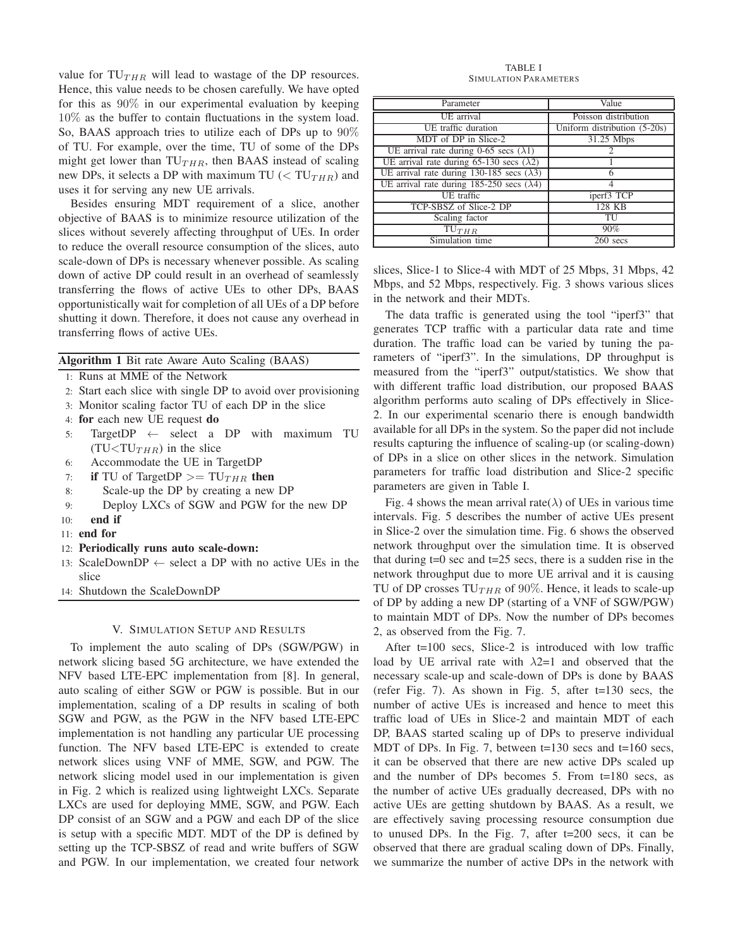value for  $TU_{THR}$  will lead to wastage of the DP resources. Hence, this value needs to be chosen carefully. We have opted for this as  $90\%$  in our experimental evaluation by keeping 10% as the buffer to contain fluctuations in the system load. So, BAAS approach tries to utilize each of DPs up to 90% of TU. For example, over the time, TU of some of the DPs might get lower than  $TU<sub>THR</sub>$ , then BAAS instead of scaling new DPs, it selects a DP with maximum TU ( $\langle T U_{THR} \rangle$ ) and uses it for serving any new UE arrivals.

Besides ensuring MDT requirement of a slice, another objective of BAAS is to minimize resource utilization of the slices without severely affecting throughput of UEs. In order to reduce the overall resource consumption of the slices, auto scale-down of DPs is necessary whenever possible. As scaling down of active DP could result in an overhead of seamlessly transferring the flows of active UEs to other DPs, BAAS opportunistically wait for completion of all UEs of a DP before shutting it down. Therefore, it does not cause any overhead in transferring flows of active UEs.

Algorithm 1 Bit rate Aware Auto Scaling (BAAS)

- 1: Runs at MME of the Network
- 2: Start each slice with single DP to avoid over provisioning
- 3: Monitor scaling factor TU of each DP in the slice
- 4: for each new UE request do
- 5: TargetDP ← select a DP with maximum TU  $(TU(TU_{THR})$  in the slice
- 6: Accommodate the UE in TargetDP
- 7: if TU of TargetDP  $>=$  TU<sub>THR</sub> then
- 8: Scale-up the DP by creating a new DP
- 9: Deploy LXCs of SGW and PGW for the new DP
- 10: end if
- 11: end for
- 12: Periodically runs auto scale-down:
- 13: ScaleDownDP  $\leftarrow$  select a DP with no active UEs in the slice
- 14: Shutdown the ScaleDownDP

#### V. SIMULATION SETUP AND RESULTS

To implement the auto scaling of DPs (SGW/PGW) in network slicing based 5G architecture, we have extended the NFV based LTE-EPC implementation from [8]. In general, auto scaling of either SGW or PGW is possible. But in our implementation, scaling of a DP results in scaling of both SGW and PGW, as the PGW in the NFV based LTE-EPC implementation is not handling any particular UE processing function. The NFV based LTE-EPC is extended to create network slices using VNF of MME, SGW, and PGW. The network slicing model used in our implementation is given in Fig. 2 which is realized using lightweight LXCs. Separate LXCs are used for deploying MME, SGW, and PGW. Each DP consist of an SGW and a PGW and each DP of the slice is setup with a specific MDT. MDT of the DP is defined by setting up the TCP-SBSZ of read and write buffers of SGW and PGW. In our implementation, we created four network

TABLE I SIMULATION PARAMETERS

| Parameter                                           | Value                        |
|-----------------------------------------------------|------------------------------|
| UE arrival                                          | Poisson distribution         |
| UE traffic duration                                 | Uniform distribution (5-20s) |
| MDT of DP in Slice-2                                | 31.25 Mbps                   |
| UE arrival rate during 0-65 secs $(\lambda 1)$      |                              |
| UE arrival rate during 65-130 secs $(\lambda 2)$    |                              |
| UE arrival rate during 130-185 secs $(\lambda 3)$   |                              |
| UE arrival rate during $185-250$ secs $(\lambda 4)$ |                              |
| UE traffic                                          | iperf3 TCP                   |
| TCP-SBSZ of Slice-2 DP                              | 128 KB                       |
| Scaling factor                                      | TU                           |
| $\overline{T}U_{THR}$                               | 90%                          |
| Simulation time                                     | $\overline{2}60$ secs        |

slices, Slice-1 to Slice-4 with MDT of 25 Mbps, 31 Mbps, 42 Mbps, and 52 Mbps, respectively. Fig. 3 shows various slices in the network and their MDTs.

The data traffic is generated using the tool "iperf3" that generates TCP traffic with a particular data rate and time duration. The traffic load can be varied by tuning the parameters of "iperf3". In the simulations, DP throughput is measured from the "iperf3" output/statistics. We show that with different traffic load distribution, our proposed BAAS algorithm performs auto scaling of DPs effectively in Slice-2. In our experimental scenario there is enough bandwidth available for all DPs in the system. So the paper did not include results capturing the influence of scaling-up (or scaling-down) of DPs in a slice on other slices in the network. Simulation parameters for traffic load distribution and Slice-2 specific parameters are given in Table I.

Fig. 4 shows the mean arrival rate( $\lambda$ ) of UEs in various time intervals. Fig. 5 describes the number of active UEs present in Slice-2 over the simulation time. Fig. 6 shows the observed network throughput over the simulation time. It is observed that during  $t=0$  sec and  $t=25$  secs, there is a sudden rise in the network throughput due to more UE arrival and it is causing TU of DP crosses  $TU_{THR}$  of 90%. Hence, it leads to scale-up of DP by adding a new DP (starting of a VNF of SGW/PGW) to maintain MDT of DPs. Now the number of DPs becomes 2, as observed from the Fig. 7.

After t=100 secs, Slice-2 is introduced with low traffic load by UE arrival rate with  $\lambda$ 2=1 and observed that the necessary scale-up and scale-down of DPs is done by BAAS (refer Fig. 7). As shown in Fig. 5, after t=130 secs, the number of active UEs is increased and hence to meet this traffic load of UEs in Slice-2 and maintain MDT of each DP, BAAS started scaling up of DPs to preserve individual MDT of DPs. In Fig. 7, between t=130 secs and t=160 secs, it can be observed that there are new active DPs scaled up and the number of DPs becomes 5. From t=180 secs, as the number of active UEs gradually decreased, DPs with no active UEs are getting shutdown by BAAS. As a result, we are effectively saving processing resource consumption due to unused DPs. In the Fig. 7, after t=200 secs, it can be observed that there are gradual scaling down of DPs. Finally, we summarize the number of active DPs in the network with